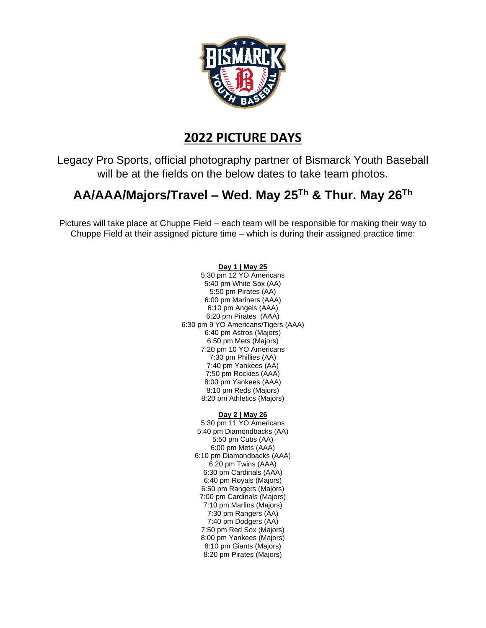

## **2022 PICTURE DAYS**

Legacy Pro Sports, official photography partner of Bismarck Youth Baseball will be at the fields on the below dates to take team photos.

## **AA/AAA/Majors/Travel – Wed. May 25Th & Thur. May 26Th**

Pictures will take place at Chuppe Field – each team will be responsible for making their way to Chuppe Field at their assigned picture time – which is during their assigned practice time:

## **Day 1 | May 25**

5:30 pm 12 YO Americans 5:40 pm White Sox (AA) 5:50 pm Pirates (AA) 6:00 pm Mariners (AAA) 6:10 pm Angels (AAA) 6:20 pm Pirates (AAA) 6:30 pm 9 YO Americans/Tigers (AAA) 6:40 pm Astros (Majors) 6:50 pm Mets (Majors) 7:20 pm 10 YO Americans 7:30 pm Phillies (AA) 7:40 pm Yankees (AA) 7:50 pm Rockies (AAA) 8:00 pm Yankees (AAA) 8:10 pm Reds (Majors) 8:20 pm Athletics (Majors)

## **Day 2 | May 26**

5:30 pm 11 YO Americans 5:40 pm Diamondbacks (AA) 5:50 pm Cubs (AA) 6:00 pm Mets (AAA) 6:10 pm Diamondbacks (AAA) 6:20 pm Twins (AAA) 6:30 pm Cardinals (AAA) 6:40 pm Royals (Majors) 6:50 pm Rangers (Majors) 7:00 pm Cardinals (Majors) 7:10 pm Marlins (Majors) 7:30 pm Rangers (AA) 7:40 pm Dodgers (AA) 7:50 pm Red Sox (Majors) 8:00 pm Yankees (Majors) 8:10 pm Giants (Majors) 8:20 pm Pirates (Majors)